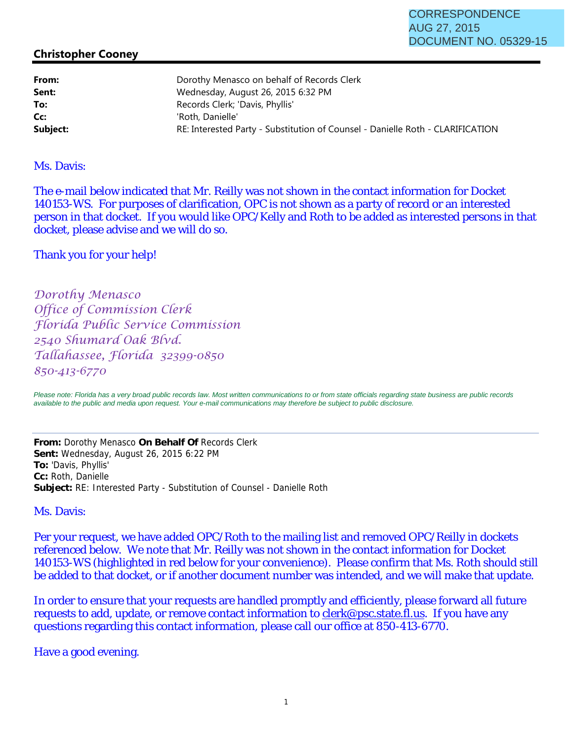## **Christopher Cooney**

| From:    | Dorothy Menasco on behalf of Records Clerk                                     |  |
|----------|--------------------------------------------------------------------------------|--|
| Sent:    | Wednesday, August 26, 2015 6:32 PM                                             |  |
| To:      | Records Clerk; 'Davis, Phyllis'                                                |  |
| Cc:      | 'Roth, Danielle'                                                               |  |
| Subject: | RE: Interested Party - Substitution of Counsel - Danielle Roth - CLARIFICATION |  |
|          |                                                                                |  |

## Ms. Davis:

The e-mail below indicated that Mr. Reilly was not shown in the contact information for Docket 140153-WS. For purposes of clarification, OPC is not shown as a party of record or an interested person in that docket. If you would like OPC/Kelly and Roth to be added as interested persons in that docket, please advise and we will do so.

## Thank you for your help!

Dorothy Menasco Office of Commission Clerk Florida Public Service Commission 2540 Shumard Oak Blvd. Tallahassee, Florida 32399-0850 850-413-6770

Please note: Florida has a very broad public records law. Most written communications to or from state officials regarding state business are public records *available to the public and media upon request. Your e-mail communications may therefore be subject to public disclosure.*

**From:** Dorothy Menasco **On Behalf Of** Records Clerk **Sent:** Wednesday, August 26, 2015 6:22 PM **To:** 'Davis, Phyllis' **Cc:** Roth, Danielle **Subject:** RE: Interested Party - Substitution of Counsel - Danielle Roth

Ms. Davis:

Per your request, we have added OPC/Roth to the mailing list and removed OPC/Reilly in dockets referenced below. We note that Mr. Reilly was not shown in the contact information for Docket 140153-WS (highlighted in red below for your convenience). Please confirm that Ms. Roth should still be added to that docket, or if another document number was intended, and we will make that update.

In order to ensure that your requests are handled promptly and efficiently, please forward all future requests to add, update, or remove contact information to clerk@psc.state.fl.us. If you have any questions regarding this contact information, please call our office at 850-413-6770.

Have a good evening.